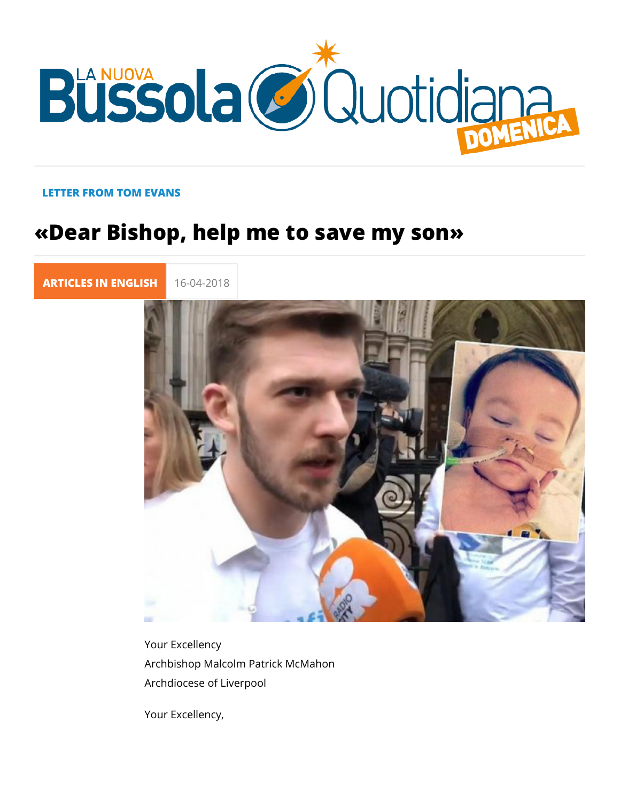## LETTER FROM TOM EVANS

## «Dear Bishop, help me to save my son»

[ARTICLES IN E](https://lanuovabq.it/it/articles-in-english)N 16-04-2018

Your Excellency Archbishop Malcolm Patrick McMahon Archdiocese of Liverpool

Your Excellency,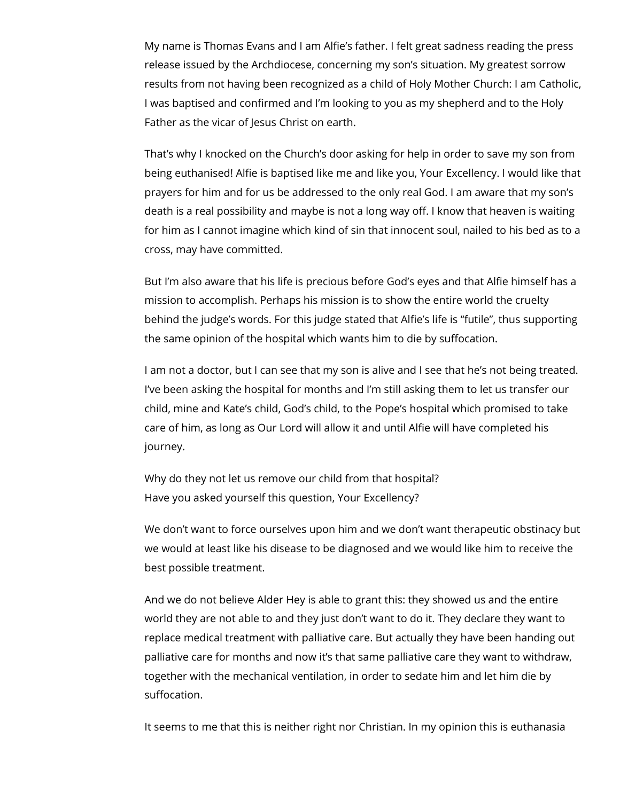My name is Thomas Evans and I am Alfie's father. I felt great sadness reading the press release issued by the Archdiocese, concerning my son's situation. My greatest sorrow results from not having been recognized as a child of Holy Mother Church: I am Catholic, I was baptised and confirmed and I'm looking to you as my shepherd and to the Holy Father as the vicar of Jesus Christ on earth.

That's why I knocked on the Church's door asking for help in order to save my son from being euthanised! Alfie is baptised like me and like you, Your Excellency. I would like that prayers for him and for us be addressed to the only real God. I am aware that my son's death is a real possibility and maybe is not a long way off. I know that heaven is waiting for him as I cannot imagine which kind of sin that innocent soul, nailed to his bed as to a cross, may have committed.

But I'm also aware that his life is precious before God's eyes and that Alfie himself has a mission to accomplish. Perhaps his mission is to show the entire world the cruelty behind the judge's words. For this judge stated that Alfie's life is "futile", thus supporting the same opinion of the hospital which wants him to die by suffocation.

I am not a doctor, but I can see that my son is alive and I see that he's not being treated. I've been asking the hospital for months and I'm still asking them to let us transfer our child, mine and Kate's child, God's child, to the Pope's hospital which promised to take care of him, as long as Our Lord will allow it and until Alfie will have completed his journey.

Why do they not let us remove our child from that hospital? Have you asked yourself this question, Your Excellency?

We don't want to force ourselves upon him and we don't want therapeutic obstinacy but we would at least like his disease to be diagnosed and we would like him to receive the best possible treatment.

And we do not believe Alder Hey is able to grant this: they showed us and the entire world they are not able to and they just don't want to do it. They declare they want to replace medical treatment with palliative care. But actually they have been handing out palliative care for months and now it's that same palliative care they want to withdraw, together with the mechanical ventilation, in order to sedate him and let him die by suffocation.

It seems to me that this is neither right nor Christian. In my opinion this is euthanasia